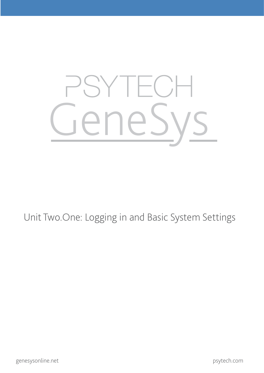# **TEG** GeneSys

#### Unit Two.One: Logging in and Basic System Settings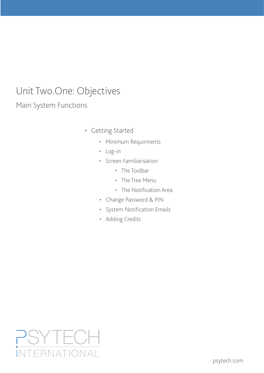# Unit Two.One: Objectives

Main System Functions

- • Getting Started
	- • Minimum Requirments
	- • Log-in
	- • Screen Familiarisation
		- The Toolbar
		- The Tree Menu
		- • The Notification Area
	- • Change Password & PIN
	- • System Notification Emails
	- • Adding Credits

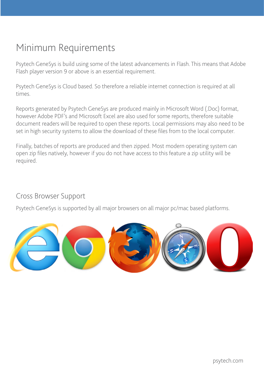#### Minimum Requirements

Psytech GeneSys is build using some of the latest advancements in Flash. This means that Adobe Flash player version 9 or above is an essential requirement.

Psytech GeneSys is Cloud based. So therefore a reliable internet connection is required at all times.

Reports generated by Psytech GeneSys are produced mainly in Microsoft Word (.Doc) format, however Adobe PDF's and Microsoft Excel are also used for some reports, therefore suitable document readers will be required to open these reports. Local permissions may also need to be set in high security systems to allow the download of these files from to the local computer.

Finally, batches of reports are produced and then zipped. Most modern operating system can open zip files natively, however if you do not have access to this feature a zip utility will be required.

#### Cross Browser Support

Psytech GeneSys is supported by all major browsers on all major pc/mac based platforms.

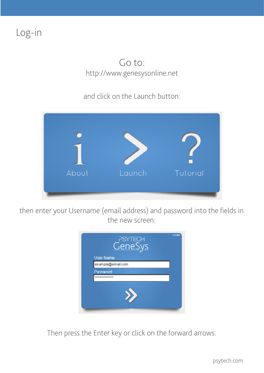Log-in

#### http://www.genesysonline.net Go to:

and click on the Launch button:



then enter your Username (email address) and password into the fields in the new screen:



Then press the Enter key or click on the forward arrows.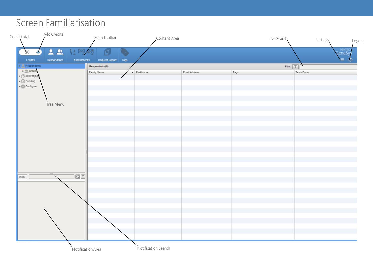#### Screen Familiarisation

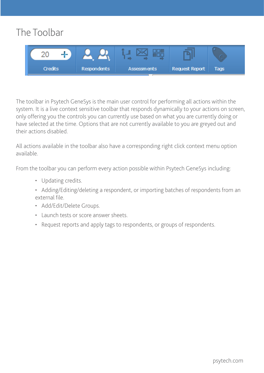### The Toolbar



The toolbar in Psytech GeneSys is the main user control for performing all actions within the system. It is a live context sensitive toolbar that responds dynamically to your actions on screen, only offering you the controls you can currently use based on what you are currently doing or have selected at the time. Options that are not currently available to you are greyed out and their actions disabled.

All actions available in the toolbar also have a corresponding right click context menu option available.

From the toolbar you can perform every action possible within Psytech GeneSys including:

- Updating credits.
- Adding/Editing/deleting a respondent, or importing batches of respondents from an external file.
- • Add/Edit/Delete Groups.
- • Launch tests or score answer sheets.
- • Request reports and apply tags to respondents, or groups of respondents.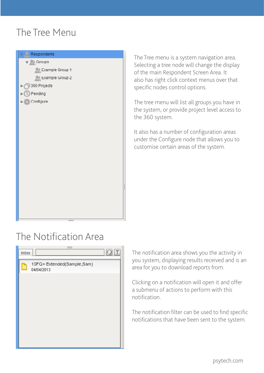#### The Tree Menu



The Tree menu is a system navigation area. Selecting a tree node will change the display of the main Respondent Screen Area. It also has right click context menus over that specific nodes control options.

The tree menu will list all groups you have in the system, or provide project level access to the 360 system.

It also has a number of configuration areas under the Configure node that allows you to customise certain areas of the system.

#### The Notification Area

| Inbox |                                         |  |
|-------|-----------------------------------------|--|
|       | 15FQ+Extended(Sample,Sam)<br>04/04/2013 |  |
|       |                                         |  |
|       |                                         |  |
|       |                                         |  |
|       |                                         |  |
|       |                                         |  |
|       |                                         |  |

The notification area shows you the activity in you system, displaying results received and is an area for you to download reports from.

Clicking on a notification will open it and offer a submenu of actions to perform with this notification.

The notification filter can be used to find specific notifications that have been sent to the system.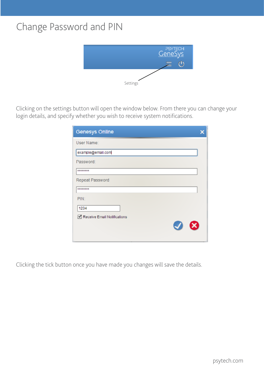#### Change Password and PIN



Clicking on the settings button will open the window below. From there you can change your login details, and specify whether you wish to receive system notifications.

| <b>Genesys Online</b>       |  |
|-----------------------------|--|
| User Name:                  |  |
| example@email.com           |  |
| Password:                   |  |
| ********                    |  |
| Repeat Password             |  |
| ********                    |  |
| PIN:                        |  |
| 1234                        |  |
| Receive Email Notifications |  |
| -63<br>$\blacktriangledown$ |  |
|                             |  |

Clicking the tick button once you have made you changes will save the details.